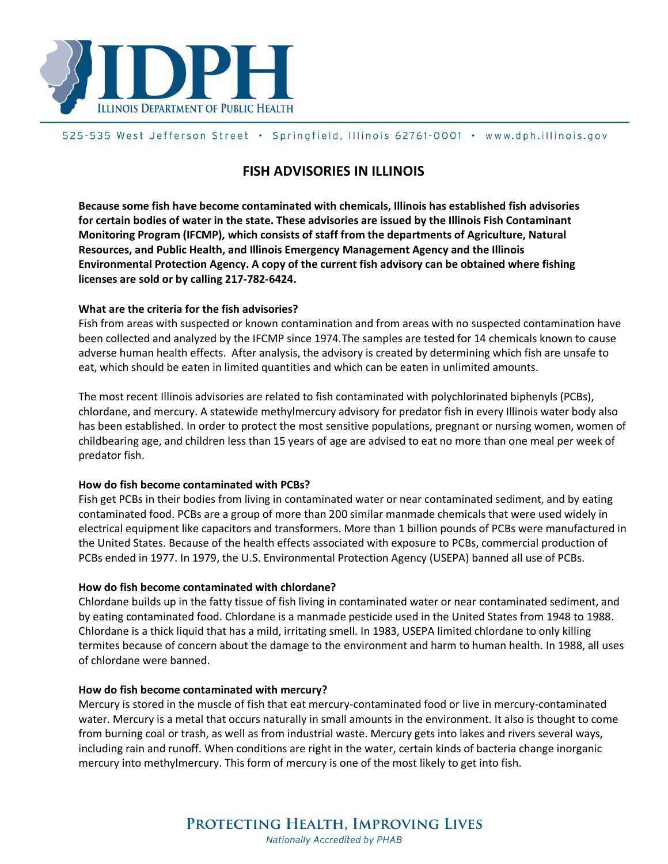

# 525-535 West Jefferson Street · Springfield, Illinois 62761-0001 · www.dph.illinois.gov

# **FISH ADVISORIES IN ILLINOIS**

**Because some fish have become contaminated with chemicals, Illinois has established fish advisories for certain bodies of water in the state. These advisories are issued by the Illinois Fish Contaminant Monitoring Program (IFCMP), which consists of staff from the departments of Agriculture, Natural Resources, and Public Health, and Illinois Emergency Management Agency and the Illinois Environmental Protection Agency. A copy of the current fish advisory can be obtained where fishing licenses are sold or by calling 217-782-6424.** 

## **What are the criteria for the fish advisories?**

Fish from areas with suspected or known contamination and from areas with no suspected contamination have been collected and analyzed by the IFCMP since 1974.The samples are tested for 14 chemicals known to cause adverse human health effects. After analysis, the advisory is created by determining which fish are unsafe to eat, which should be eaten in limited quantities and which can be eaten in unlimited amounts.

The most recent Illinois advisories are related to fish contaminated with polychlorinated biphenyls (PCBs), chlordane, and mercury. A statewide methylmercury advisory for predator fish in every Illinois water body also has been established. In order to protect the most sensitive populations, pregnant or nursing women, women of childbearing age, and children less than 15 years of age are advised to eat no more than one meal per week of predator fish.

#### **How do fish become contaminated with PCBs?**

Fish get PCBs in their bodies from living in contaminated water or near contaminated sediment, and by eating contaminated food. PCBs are a group of more than 200 similar manmade chemicals that were used widely in electrical equipment like capacitors and transformers. More than 1 billion pounds of PCBs were manufactured in the United States. Because of the health effects associated with exposure to PCBs, commercial production of PCBs ended in 1977. In 1979, the U.S. Environmental Protection Agency (USEPA) banned all use of PCBs.

## **How do fish become contaminated with chlordane?**

Chlordane builds up in the fatty tissue of fish living in contaminated water or near contaminated sediment, and by eating contaminated food. Chlordane is a manmade pesticide used in the United States from 1948 to 1988. Chlordane is a thick liquid that has a mild, irritating smell. In 1983, USEPA limited chlordane to only killing termites because of concern about the damage to the environment and harm to human health. In 1988, all uses of chlordane were banned.

#### **How do fish become contaminated with mercury?**

Mercury is stored in the muscle of fish that eat mercury-contaminated food or live in mercury-contaminated water. Mercury is a metal that occurs naturally in small amounts in the environment. It also is thought to come from burning coal or trash, as well as from industrial waste. Mercury gets into lakes and rivers several ways, including rain and runoff. When conditions are right in the water, certain kinds of bacteria change inorganic mercury into methylmercury. This form of mercury is one of the most likely to get into fish.